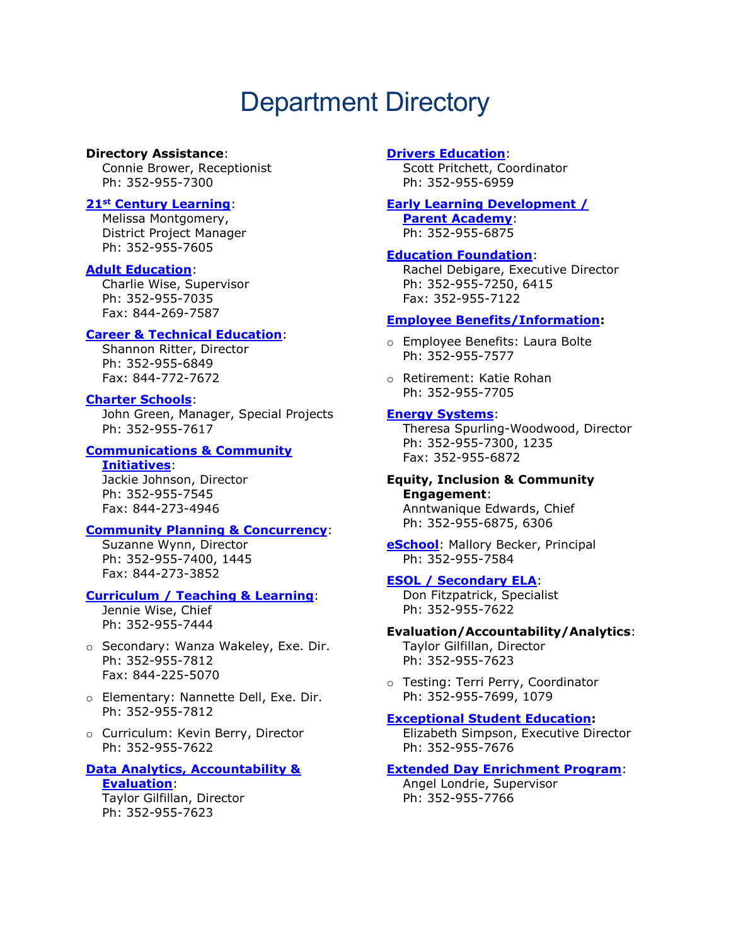# Department Directory

## **Directory Assistance**:

Connie Brower, Receptionist Ph: 352-955-7300

# **21st [Century Learning](https://www.sbac.edu/21stCentury)**:

Melissa Montgomery, District Project Manager Ph: 352-955-7605

## **[Adult Education](https://www.sbac.edu/adulted)**:

Charlie Wise, Supervisor Ph: 352-955-7035 Fax: 844-269-7587

# **[Career & Technical Education](https://www.sbac.edu/cte)**:

Shannon Ritter, Director Ph: 352-955-6849 Fax: 844-772-7672

# **[Charter Schools](https://www.sbac.edu/charter)**:

John Green, Manager, Special Projects Ph: 352-955-7617

#### **[Communications & Community](https://fl02219191.schoolwires.net/Domain/42)**

**[Initiatives](https://fl02219191.schoolwires.net/Domain/42)**: Jackie Johnson, Director Ph: 352-955-7545 Fax: 844-273-4946

## **[Community Planning & Concurrency](https://www.sbac.edu/facility)**:

Suzanne Wynn, Director Ph: 352-955-7400, 1445 Fax: 844-273-3852

## **[Curriculum / Teaching & Learning](https://www.sbac.edu/curriculum)**:

Jennie Wise, Chief Ph: 352-955-7444

- o Secondary: Wanza Wakeley, Exe. Dir. Ph: 352-955-7812 Fax: 844-225-5070
- o Elementary: Nannette Dell, Exe. Dir. Ph: 352-955-7812
- o Curriculum: Kevin Berry, Director Ph: 352-955-7622

#### **[Data Analytics, Accountability &](https://www.sbac.edu/dataanalytics)  [Evaluation](https://www.sbac.edu/dataanalytics)**:

Taylor Gilfillan, Director Ph: 352-955-7623

#### **[Drivers Education](https://www.sbac.edu/domain/7036)**:

Scott Pritchett, Coordinator Ph: 352-955-6959

## **[Early Learning Development /](https://fl02219191.schoolwires.net/Domain/6210)**

**[Parent Academy](https://fl02219191.schoolwires.net/Domain/6210)**: Ph: 352-955-6875

## **[Education Foundation](https://edfoundationac.org/)**:

Rachel Debigare, Executive Director Ph: 352-955-7250, 6415 Fax: 352-955-7122

# **[Employee Benefits/Information:](https://www.sbac.edu/mybenefits)**

o Employee Benefits: Laura Bolte Ph: 352-955-7577

o Retirement: Katie Rohan Ph: 352-955-7705

## **[Energy Systems](https://www.sbac.edu/energy)**:

Theresa Spurling-Woodwood, Director Ph: 352-955-7300, 1235 Fax: 352-955-6872

## **Equity, Inclusion & Community Engagement**: Anntwanique Edwards, Chief

Ph: 352-955-6875, 6306

**[eSchool](https://www.sbac.edu/aes)**: Mallory Becker, Principal Ph: 352-955-7584

## **[ESOL / Secondary ELA](https://www.sbac.edu/curriculum)**:

Don Fitzpatrick, Specialist Ph: 352-955-7622

# **Evaluation/Accountability/Analytics**:

Taylor Gilfillan, Director Ph: 352-955-7623

o Testing: Terri Perry, Coordinator Ph: 352-955-7699, 1079

## **[Exceptional Student Education:](https://www.sbac.edu/ese)**

Elizabeth Simpson, Executive Director Ph: 352-955-7676

# **[Extended Day Enrichment Program](https://www.sbac.edu/edep)**:

Angel Londrie, Supervisor Ph: 352-955-7766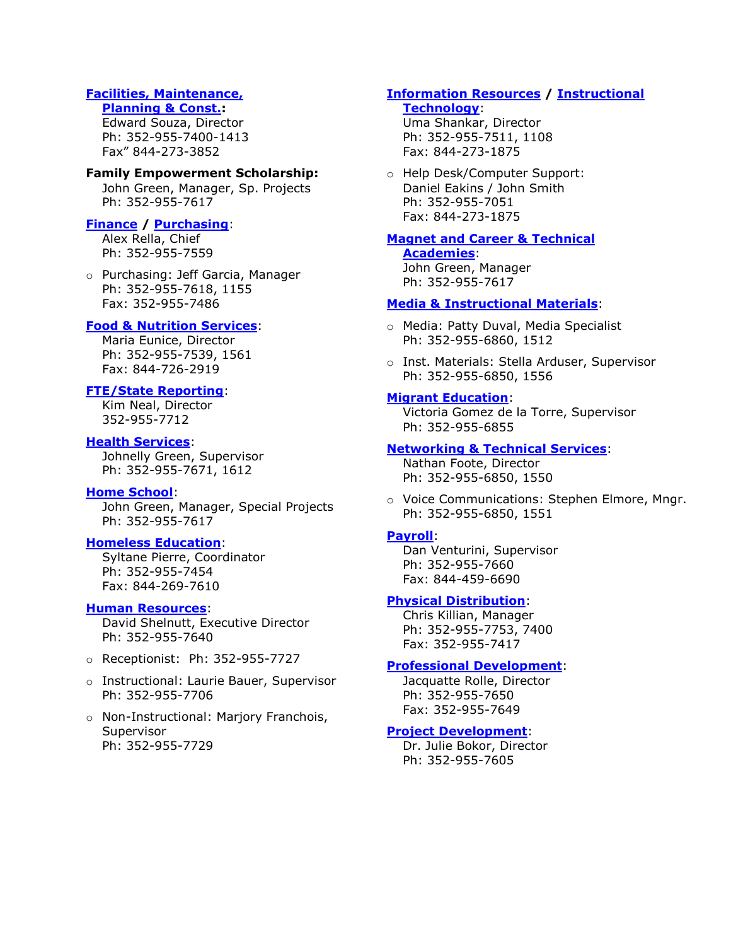# **[Facilities, Maintenance,](https://www.sbac.edu/facility)**

#### **[Planning & Const.:](https://www.sbac.edu/facility)**

Edward Souza, Director Ph: 352-955-7400-1413 Fax" 844-273-3852

## **Family Empowerment Scholarship:**

John Green, Manager, Sp. Projects Ph: 352-955-7617

# **[Finance](https://www.sbac.edu/business) / [Purchasing](https://www.sbac.edu/purchase)**:

Alex Rella, Chief Ph: 352-955-7559

o Purchasing: Jeff Garcia, Manager Ph: 352-955-7618, 1155 Fax: 352-955-7486

# **[Food & Nutrition Services](https://www.yourchoicefresh.com/)**:

Maria Eunice, Director Ph: 352-955-7539, 1561 Fax: 844-726-2919

# **[FTE/State Reporting](https://www.sbac.edu/domain/9512)**:

Kim Neal, Director 352-955-7712

# **[Health Services](https://fl02219191.schoolwires.net/Page/1637)**:

Johnelly Green, Supervisor Ph: 352-955-7671, 1612

# **[Home School](https://www.sbac.edu/homeschool)**:

John Green, Manager, Special Projects Ph: 352-955-7617

## **[Homeless Education](https://www.sbac.edu/homeless)**:

Syltane Pierre, Coordinator Ph: 352-955-7454 Fax: 844-269-7610

## **[Human Resources](https://www.sbac.edu/hr)**:

David Shelnutt, Executive Director Ph: 352-955-7640

- o Receptionist: Ph: 352-955-7727
- o Instructional: Laurie Bauer, Supervisor Ph: 352-955-7706
- o Non-Instructional: Marjory Franchois, Supervisor Ph: 352-955-7729

# **[Information Resources](https://www.sbac.edu/ir) / [Instructional](https://fl02219191.schoolwires.net/Domain/69)**

# **[Technology](https://fl02219191.schoolwires.net/Domain/69)**:

Uma Shankar, Director Ph: 352-955-7511, 1108 Fax: 844-273-1875

o Help Desk/Computer Support: Daniel Eakins / John Smith Ph: 352-955-7051 Fax: 844-273-1875

## **[Magnet and Career & Technical](https://www.sbac.edu/Page/29448)**

**[Academies](https://www.sbac.edu/Page/29448)**: John Green, Manager Ph: 352-955-7617

# **[Media & Instructional Materials](https://www.sbac.edu/domain/67)**:

- o Media: Patty Duval, Media Specialist Ph: 352-955-6860, 1512
- o Inst. Materials: Stella Arduser, Supervisor Ph: 352-955-6850, 1556

# **[Migrant Education](https://www.sbac.edu/migrant)**:

Victoria Gomez de la Torre, Supervisor Ph: 352-955-6855

# **[Networking & Technical Services](https://www.sbac.edu/vc)**:

Nathan Foote, Director Ph: 352-955-6850, 1550

o Voice Communications: Stephen Elmore, Mngr. Ph: 352-955-6850, 1551

# **[Payroll](https://www.sbac.edu/payroll)**:

Dan Venturini, Supervisor Ph: 352-955-7660 Fax: 844-459-6690

## **[Physical Distribution](https://www.sbac.edu/warehouse)**:

Chris Killian, Manager Ph: 352-955-7753, 7400 Fax: 352-955-7417

# **[Professional Development](https://www.sbac.edu/pd)**:

Jacquatte Rolle, Director Ph: 352-955-7650 Fax: 352-955-7649

## **[Project Development](https://www.sbac.edu/grants)**:

Dr. Julie Bokor, Director Ph: 352-955-7605